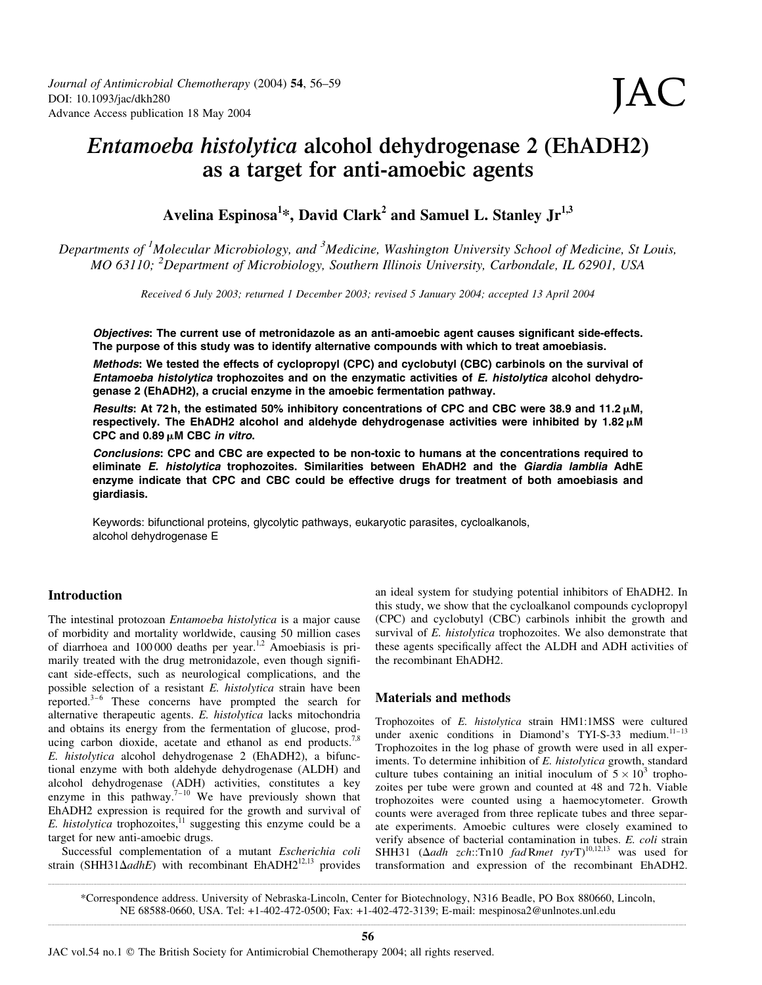# Entamoeba histolytica alcohol dehydrogenase 2 (EhADH2) as a target for anti-amoebic agents

Avelina Espinosa $^{1*}$ , David Clark $^{2}$  and Samuel L. Stanley Jr $^{1,3}$ 

Departments of <sup>1</sup>Molecular Microbiology, and <sup>3</sup>Medicine, Washington University School of Medicine, St Louis, MO 63110; <sup>2</sup>Department of Microbiology, Southern Illinois University, Carbondale, IL 62901, USA

Received 6 July 2003; returned 1 December 2003; revised 5 January 2004; accepted 13 April 2004

Objectives: The current use of metronidazole as an anti-amoebic agent causes significant side-effects. The purpose of this study was to identify alternative compounds with which to treat amoebiasis.

Methods: We tested the effects of cyclopropyl (CPC) and cyclobutyl (CBC) carbinols on the survival of Entamoeba histolytica trophozoites and on the enzymatic activities of E. histolytica alcohol dehydrogenase 2 (EhADH2), a crucial enzyme in the amoebic fermentation pathway.

Results: At 72 h, the estimated 50% inhibitory concentrations of CPC and CBC were 38.9 and 11.2  $\mu$ M, respectively. The EhADH2 alcohol and aldehyde dehydrogenase activities were inhibited by  $1.82 \mu M$ CPC and  $0.89 \mu$ M CBC in vitro.

Conclusions: CPC and CBC are expected to be non-toxic to humans at the concentrations required to eliminate E. histolytica trophozoites. Similarities between EhADH2 and the Giardia lamblia AdhE enzyme indicate that CPC and CBC could be effective drugs for treatment of both amoebiasis and giardiasis.

Keywords: bifunctional proteins, glycolytic pathways, eukaryotic parasites, cycloalkanols, alcohol dehydrogenase E

# Introduction

The intestinal protozoan Entamoeba histolytica is a major cause of morbidity and mortality worldwide, causing 50 million cases of diarrhoea and 100 000 deaths per year.<sup>1,2</sup> Amoebiasis is primarily treated with the drug metronidazole, even though significant side-effects, such as neurological complications, and the possible selection of a resistant E. histolytica strain have been reported. $3-6$  These concerns have prompted the search for alternative therapeutic agents. E. histolytica lacks mitochondria and obtains its energy from the fermentation of glucose, producing carbon dioxide, acetate and ethanol as end products.<sup>7,8</sup> E. histolytica alcohol dehydrogenase 2 (EhADH2), a bifunctional enzyme with both aldehyde dehydrogenase (ALDH) and alcohol dehydrogenase (ADH) activities, constitutes a key enzyme in this pathway.<sup>7-10</sup> We have previously shown that EhADH2 expression is required for the growth and survival of E. histolytica trophozoites, $11$  suggesting this enzyme could be a target for new anti-amoebic drugs.

Successful complementation of a mutant Escherichia coli strain (SHH31 $\Delta$ adhE) with recombinant EhADH2<sup>12,13</sup> provides

an ideal system for studying potential inhibitors of EhADH2. In this study, we show that the cycloalkanol compounds cyclopropyl (CPC) and cyclobutyl (CBC) carbinols inhibit the growth and survival of E. *histolytica* trophozoites. We also demonstrate that these agents specifically affect the ALDH and ADH activities of the recombinant EhADH2.

# Materials and methods

Trophozoites of E. histolytica strain HM1:1MSS were cultured under axenic conditions in Diamond's TYI-S-33 medium.<sup>11-13</sup> Trophozoites in the log phase of growth were used in all experiments. To determine inhibition of E. histolytica growth, standard culture tubes containing an initial inoculum of  $5 \times 10^3$  trophozoites per tube were grown and counted at 48 and 72 h. Viable trophozoites were counted using a haemocytometer. Growth counts were averaged from three replicate tubes and three separate experiments. Amoebic cultures were closely examined to verify absence of bacterial contamination in tubes. E. coli strain SHH31 ( $\Delta$ adh zch::Tn10 fadRmet tyrT)<sup>10,12,13</sup> was used for transformation and expression of the recombinant EhADH2.

.......................................................................................................................................................................................................................................................................................................................................................................................................................... \*Correspondence address. University of Nebraska-Lincoln, Center for Biotechnology, N316 Beadle, PO Box 880660, Lincoln, NE 68588-0660, USA. Tel: +1-402-472-0500; Fax: +1-402-472-3139; E-mail: mespinosa2@unlnotes.unl.edu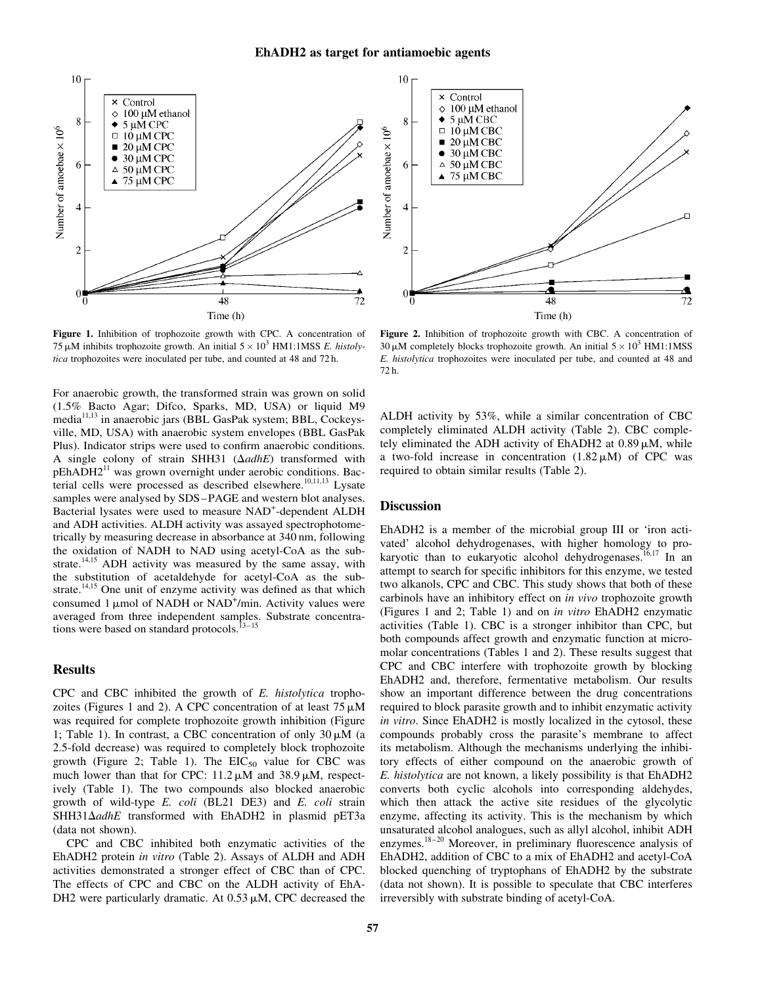

Figure 1. Inhibition of trophozoite growth with CPC. A concentration of 75  $\mu$ M inhibits trophozoite growth. An initial  $5 \times 10^3$  HM1:1MSS E. histolytica trophozoites were inoculated per tube, and counted at 48 and 72 h.

For anaerobic growth, the transformed strain was grown on solid (1.5% Bacto Agar; Difco, Sparks, MD, USA) or liquid M9 media11,13 in anaerobic jars (BBL GasPak system; BBL, Cockeysville, MD, USA) with anaerobic system envelopes (BBL GasPak Plus). Indicator strips were used to confirm anaerobic conditions. A single colony of strain SHH31 ( $\Delta adhE$ ) transformed with pEhADH2<sup>11</sup> was grown overnight under aerobic conditions. Bacterial cells were processed as described elsewhere.<sup>10,11,13</sup> Lysate samples were analysed by SDS–PAGE and western blot analyses. Bacterial lysates were used to measure NAD<sup>+</sup>-dependent ALDH and ADH activities. ALDH activity was assayed spectrophotometrically by measuring decrease in absorbance at 340 nm, following the oxidation of NADH to NAD using acetyl-CoA as the substrate.<sup>14,15</sup> ADH activity was measured by the same assay, with the substitution of acetaldehyde for acetyl-CoA as the substrate.<sup>14,15</sup> One unit of enzyme activity was defined as that which consumed 1  $\mu$ mol of NADH or NAD<sup>+</sup>/min. Activity values were averaged from three independent samples. Substrate concentrations were based on standard protocols.<sup>13-15</sup>

### **Results**

CPC and CBC inhibited the growth of E. histolytica trophozoites (Figures 1 and 2). A CPC concentration of at least  $75 \mu M$ was required for complete trophozoite growth inhibition (Figure 1; Table 1). In contrast, a CBC concentration of only  $30 \mu M$  (a 2.5-fold decrease) was required to completely block trophozoite growth (Figure 2; Table 1). The  $EIC_{50}$  value for CBC was much lower than that for CPC:  $11.2 \mu M$  and  $38.9 \mu M$ , respectively (Table 1). The two compounds also blocked anaerobic growth of wild-type E. coli (BL21 DE3) and E. coli strain SHH31 $\Delta$ adhE transformed with EhADH2 in plasmid pET3a (data not shown).

CPC and CBC inhibited both enzymatic activities of the EhADH2 protein in vitro (Table 2). Assays of ALDH and ADH activities demonstrated a stronger effect of CBC than of CPC. The effects of CPC and CBC on the ALDH activity of EhA-DH2 were particularly dramatic. At  $0.53 \mu$ M, CPC decreased the



Figure 2. Inhibition of trophozoite growth with CBC. A concentration of 30  $\mu$ M completely blocks trophozoite growth. An initial  $5 \times 10^3$  HM1:1MSS E. histolytica trophozoites were inoculated per tube, and counted at 48 and 72 h.

ALDH activity by 53%, while a similar concentration of CBC completely eliminated ALDH activity (Table 2). CBC completely eliminated the ADH activity of EhADH2 at  $0.89 \mu M$ , while a two-fold increase in concentration  $(1.82 \,\mu\text{M})$  of CPC was required to obtain similar results (Table 2).

## **Discussion**

EhADH2 is a member of the microbial group III or 'iron activated' alcohol dehydrogenases, with higher homology to prokaryotic than to eukaryotic alcohol dehydrogenases.<sup>16,17</sup> In an attempt to search for specific inhibitors for this enzyme, we tested two alkanols, CPC and CBC. This study shows that both of these carbinols have an inhibitory effect on in vivo trophozoite growth (Figures 1 and 2; Table 1) and on in vitro EhADH2 enzymatic activities (Table 1). CBC is a stronger inhibitor than CPC, but both compounds affect growth and enzymatic function at micromolar concentrations (Tables 1 and 2). These results suggest that CPC and CBC interfere with trophozoite growth by blocking EhADH2 and, therefore, fermentative metabolism. Our results show an important difference between the drug concentrations required to block parasite growth and to inhibit enzymatic activity in vitro. Since EhADH2 is mostly localized in the cytosol, these compounds probably cross the parasite's membrane to affect its metabolism. Although the mechanisms underlying the inhibitory effects of either compound on the anaerobic growth of E. histolytica are not known, a likely possibility is that EhADH2 converts both cyclic alcohols into corresponding aldehydes, which then attack the active site residues of the glycolytic enzyme, affecting its activity. This is the mechanism by which unsaturated alcohol analogues, such as allyl alcohol, inhibit ADH enzymes.<sup>18-20</sup> Moreover, in preliminary fluorescence analysis of EhADH2, addition of CBC to a mix of EhADH2 and acetyl-CoA blocked quenching of tryptophans of EhADH2 by the substrate (data not shown). It is possible to speculate that CBC interferes irreversibly with substrate binding of acetyl-CoA.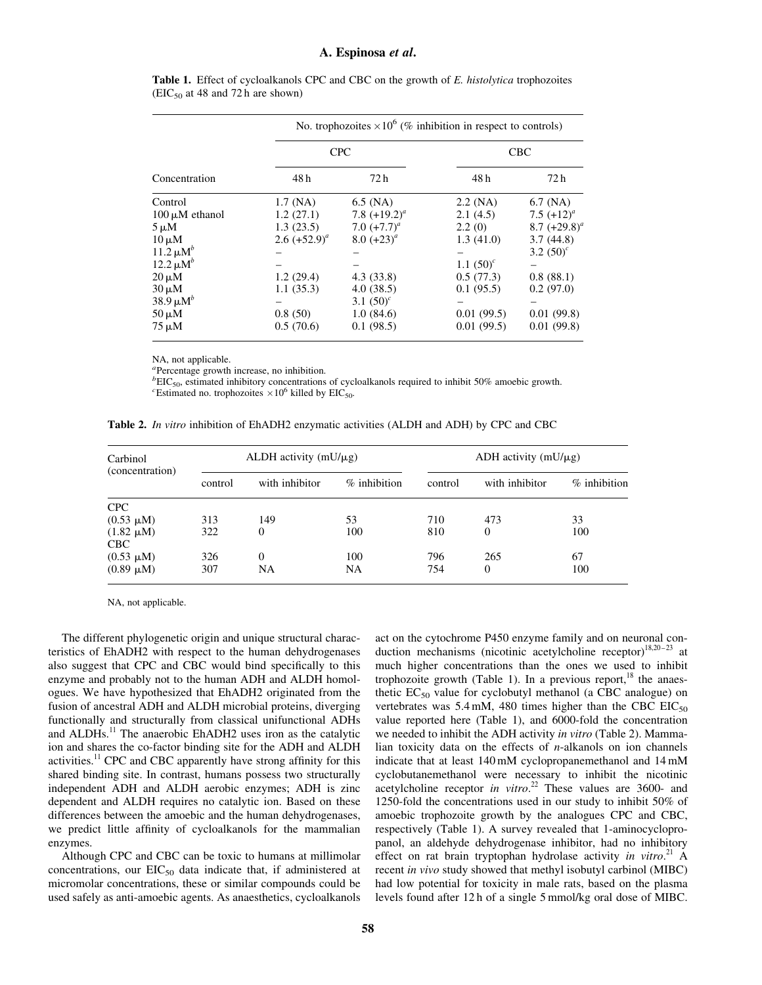#### A. Espinosa et al.

| Concentration             | No. trophozoites $\times 10^6$ (% inhibition in respect to controls) |                 |              |                 |  |  |  |
|---------------------------|----------------------------------------------------------------------|-----------------|--------------|-----------------|--|--|--|
|                           | <b>CPC</b>                                                           |                 | <b>CBC</b>   |                 |  |  |  |
|                           | 48 h                                                                 | 72 h            | 48 h         | 72 h            |  |  |  |
| Control                   | $1.7$ (NA)                                                           | $6.5$ (NA)      | $2.2$ (NA)   | $6.7$ (NA)      |  |  |  |
| $100 \mu M$ ethanol       | 1.2(27.1)                                                            | 7.8 $(+19.2)^a$ | 2.1(4.5)     | 7.5 $(+12)^a$   |  |  |  |
| $5 \mu M$                 | 1.3(23.5)                                                            | 7.0 $(+7.7)^a$  | 2.2(0)       | 8.7 $(+29.8)^a$ |  |  |  |
| $10 \mu M$                | 2.6 $(+52.9)^a$                                                      | 8.0 $(+23)^a$   | 1.3(41.0)    | 3.7(44.8)       |  |  |  |
| $11.2 \mu M^b$            |                                                                      |                 |              | 3.2 $(50)^c$    |  |  |  |
| $12.2 \mu M^b$            |                                                                      |                 | 1.1 $(50)^c$ |                 |  |  |  |
| $20 \mu M$                | 1.2(29.4)                                                            | 4.3(33.8)       | 0.5(77.3)    | 0.8(88.1)       |  |  |  |
| $30 \mu M$                | 1.1(35.3)                                                            | 4.0(38.5)       | 0.1(95.5)    | 0.2(97.0)       |  |  |  |
| 38.9 $\mu$ M <sup>b</sup> |                                                                      | 3.1 $(50)^c$    |              |                 |  |  |  |
| $50 \mu M$                | 0.8(50)                                                              | 1.0(84.6)       | 0.01(99.5)   | 0.01(99.8)      |  |  |  |
| $75 \mu M$                | 0.5(70.6)                                                            | 0.1(98.5)       | 0.01(99.5)   | 0.01(99.8)      |  |  |  |

Table 1. Effect of cycloalkanols CPC and CBC on the growth of E. histolytica trophozoites  $(EIC<sub>50</sub>$  at 48 and 72 h are shown)

NA, not applicable.

<sup>a</sup>Percentage growth increase, no inhibition.

 $b^{b}$ EIC<sub>50</sub>, estimated inhibitory concentrations of cycloalkanols required to inhibit 50% amoebic growth.

<sup>c</sup>Estimated no. trophozoites  $\times 10^6$  killed by EIC<sub>50</sub>.

Table 2. In vitro inhibition of EhADH2 enzymatic activities (ALDH and ADH) by CPC and CBC

| Carbinol<br>(concentration) | ALDH activity $(mU/\mu g)$ |                |                | ADH activity $(mU/\mu g)$ |                |                |
|-----------------------------|----------------------------|----------------|----------------|---------------------------|----------------|----------------|
|                             | control                    | with inhibitor | $%$ inhibition | control                   | with inhibitor | $%$ inhibition |
| <b>CPC</b>                  |                            |                |                |                           |                |                |
| $(0.53 \mu M)$              | 313                        | 149            | 53             | 710                       | 473            | 33             |
| $(1.82 \mu M)$              | 322                        | 0              | 100            | 810                       | $\theta$       | 100            |
| CBC                         |                            |                |                |                           |                |                |
| $(0.53 \mu M)$              | 326                        | $\Omega$       | 100            | 796                       | 265            | 67             |
| $(0.89 \mu M)$              | 307                        | NA             | NA             | 754                       | 0              | 100            |

NA, not applicable.

The different phylogenetic origin and unique structural characteristics of EhADH2 with respect to the human dehydrogenases also suggest that CPC and CBC would bind specifically to this enzyme and probably not to the human ADH and ALDH homologues. We have hypothesized that EhADH2 originated from the fusion of ancestral ADH and ALDH microbial proteins, diverging functionally and structurally from classical unifunctional ADHs and ALDHs.<sup>11</sup> The anaerobic EhADH2 uses iron as the catalytic ion and shares the co-factor binding site for the ADH and ALDH activities.<sup>11</sup> CPC and CBC apparently have strong affinity for this shared binding site. In contrast, humans possess two structurally independent ADH and ALDH aerobic enzymes; ADH is zinc dependent and ALDH requires no catalytic ion. Based on these differences between the amoebic and the human dehydrogenases, we predict little affinity of cycloalkanols for the mammalian enzymes.

Although CPC and CBC can be toxic to humans at millimolar concentrations, our  $EIC_{50}$  data indicate that, if administered at micromolar concentrations, these or similar compounds could be used safely as anti-amoebic agents. As anaesthetics, cycloalkanols

act on the cytochrome P450 enzyme family and on neuronal conduction mechanisms (nicotinic acetylcholine receptor)<sup>18,20-23</sup> at much higher concentrations than the ones we used to inhibit trophozoite growth (Table 1). In a previous report, $^{18}$  the anaesthetic  $EC_{50}$  value for cyclobutyl methanol (a CBC analogue) on vertebrates was  $5.4 \text{ mM}$ , 480 times higher than the CBC EIC<sub>50</sub> value reported here (Table 1), and 6000-fold the concentration we needed to inhibit the ADH activity in vitro (Table 2). Mammalian toxicity data on the effects of  $n$ -alkanols on ion channels indicate that at least 140 mM cyclopropanemethanol and 14 mM cyclobutanemethanol were necessary to inhibit the nicotinic acetylcholine receptor in vitro.<sup>22</sup> These values are 3600- and 1250-fold the concentrations used in our study to inhibit 50% of amoebic trophozoite growth by the analogues CPC and CBC, respectively (Table 1). A survey revealed that 1-aminocyclopropanol, an aldehyde dehydrogenase inhibitor, had no inhibitory effect on rat brain tryptophan hydrolase activity in vitro.<sup>21</sup> A recent in vivo study showed that methyl isobutyl carbinol (MIBC) had low potential for toxicity in male rats, based on the plasma levels found after 12 h of a single 5 mmol/kg oral dose of MIBC.